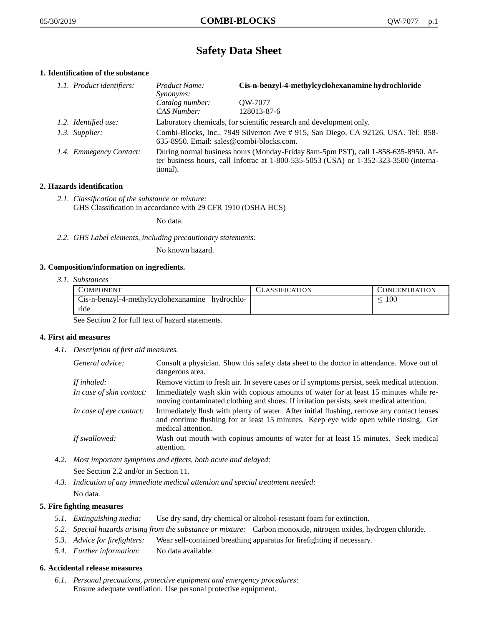# **Safety Data Sheet**

## **1. Identification of the substance**

| 1.1. Product identifiers: | Product Name:<br>Synonyms:                                                                                                                                                              | Cis-n-benzyl-4-methylcyclohexanamine hydrochloride                  |
|---------------------------|-----------------------------------------------------------------------------------------------------------------------------------------------------------------------------------------|---------------------------------------------------------------------|
|                           | Catalog number:<br>CAS Number:                                                                                                                                                          | OW-7077<br>128013-87-6                                              |
| 1.2. Identified use:      |                                                                                                                                                                                         | Laboratory chemicals, for scientific research and development only. |
| 1.3. Supplier:            | Combi-Blocks, Inc., 7949 Silverton Ave # 915, San Diego, CA 92126, USA. Tel: 858-<br>635-8950. Email: sales@combi-blocks.com.                                                           |                                                                     |
| 1.4. Emmegency Contact:   | During normal business hours (Monday-Friday 8am-5pm PST), call 1-858-635-8950. Af-<br>ter business hours, call Infotrac at 1-800-535-5053 (USA) or 1-352-323-3500 (interna-<br>tional). |                                                                     |

## **2. Hazards identification**

*2.1. Classification of the substance or mixture:* GHS Classification in accordance with 29 CFR 1910 (OSHA HCS)

No data.

*2.2. GHS Label elements, including precautionary statements:*

No known hazard.

#### **3. Composition/information on ingredients.**

*3.1. Substances*

| <b>COMPONENT</b>                                | CLASSIFICATION | CONCENTRATION |
|-------------------------------------------------|----------------|---------------|
| Cis-n-benzyl-4-methylcyclohexanamine hydrochlo- |                | 100           |
| ride                                            |                |               |

See Section 2 for full text of hazard statements.

#### **4. First aid measures**

*4.1. Description of first aid measures.*

| General advice:          | Consult a physician. Show this safety data sheet to the doctor in attendance. Move out of<br>dangerous area.                                                                                            |
|--------------------------|---------------------------------------------------------------------------------------------------------------------------------------------------------------------------------------------------------|
| If inhaled:              | Remove victim to fresh air. In severe cases or if symptoms persist, seek medical attention.                                                                                                             |
| In case of skin contact: | Immediately wash skin with copious amounts of water for at least 15 minutes while re-<br>moving contaminated clothing and shoes. If irritation persists, seek medical attention.                        |
| In case of eye contact:  | Immediately flush with plenty of water. After initial flushing, remove any contact lenses<br>and continue flushing for at least 15 minutes. Keep eye wide open while rinsing. Get<br>medical attention. |
| If swallowed:            | Wash out mouth with copious amounts of water for at least 15 minutes. Seek medical<br>attention.                                                                                                        |

*4.2. Most important symptoms and effects, both acute and delayed:*

See Section 2.2 and/or in Section 11.

*4.3. Indication of any immediate medical attention and special treatment needed:* No data.

#### **5. Fire fighting measures**

- *5.1. Extinguishing media:* Use dry sand, dry chemical or alcohol-resistant foam for extinction.
- *5.2. Special hazards arising from the substance or mixture:* Carbon monoxide, nitrogen oxides, hydrogen chloride.
- *5.3. Advice for firefighters:* Wear self-contained breathing apparatus for firefighting if necessary.
- *5.4. Further information:* No data available.

## **6. Accidental release measures**

*6.1. Personal precautions, protective equipment and emergency procedures:* Ensure adequate ventilation. Use personal protective equipment.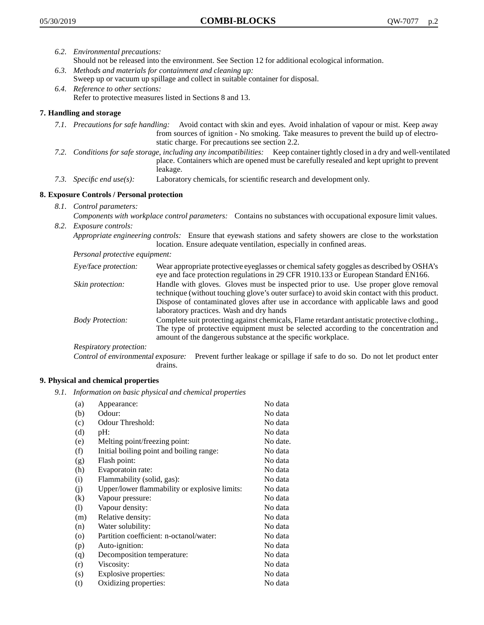- *6.2. Environmental precautions:* Should not be released into the environment. See Section 12 for additional ecological information.
- *6.3. Methods and materials for containment and cleaning up:* Sweep up or vacuum up spillage and collect in suitable container for disposal.
- *6.4. Reference to other sections:* Refer to protective measures listed in Sections 8 and 13.

## **7. Handling and storage**

- *7.1. Precautions for safe handling:* Avoid contact with skin and eyes. Avoid inhalation of vapour or mist. Keep away from sources of ignition - No smoking. Take measures to prevent the build up of electrostatic charge. For precautions see section 2.2.
- *7.2. Conditions for safe storage, including any incompatibilities:* Keep container tightly closed in a dry and well-ventilated place. Containers which are opened must be carefully resealed and kept upright to prevent leakage.
- *7.3. Specific end use(s):* Laboratory chemicals, for scientific research and development only.

## **8. Exposure Controls / Personal protection**

- *8.1. Control parameters:*
- *Components with workplace control parameters:* Contains no substances with occupational exposure limit values. *8.2. Exposure controls:*

*Appropriate engineering controls:* Ensure that eyewash stations and safety showers are close to the workstation location. Ensure adequate ventilation, especially in confined areas.

*Personal protective equipment:*

| Eye/face protection:    | Wear appropriate protective eyeglasses or chemical safety goggles as described by OSHA's<br>eye and face protection regulations in 29 CFR 1910.133 or European Standard EN166.                                                                                                                                         |
|-------------------------|------------------------------------------------------------------------------------------------------------------------------------------------------------------------------------------------------------------------------------------------------------------------------------------------------------------------|
| Skin protection:        | Handle with gloves. Gloves must be inspected prior to use. Use proper glove removal<br>technique (without touching glove's outer surface) to avoid skin contact with this product.<br>Dispose of contaminated gloves after use in accordance with applicable laws and good<br>laboratory practices. Wash and dry hands |
| <b>Body Protection:</b> | Complete suit protecting against chemicals, Flame retardant antistatic protective clothing.,<br>The type of protective equipment must be selected according to the concentration and<br>amount of the dangerous substance at the specific workplace.                                                                   |
| Respiratory protection: |                                                                                                                                                                                                                                                                                                                        |

Control of environmental exposure: Prevent further leakage or spillage if safe to do so. Do not let product enter drains.

#### **9. Physical and chemical properties**

*9.1. Information on basic physical and chemical properties*

| (a)                        | Appearance:                                   | No data  |
|----------------------------|-----------------------------------------------|----------|
| (b)                        | Odour:                                        | No data  |
| (c)                        | Odour Threshold:                              | No data  |
| (d)                        | pH:                                           | No data  |
| (e)                        | Melting point/freezing point:                 | No date. |
| (f)                        | Initial boiling point and boiling range:      | No data  |
| (g)                        | Flash point:                                  | No data  |
| (h)                        | Evaporatoin rate:                             | No data  |
| (i)                        | Flammability (solid, gas):                    | No data  |
| (j)                        | Upper/lower flammability or explosive limits: | No data  |
| (k)                        | Vapour pressure:                              | No data  |
| $\left( \mathrm{l}\right)$ | Vapour density:                               | No data  |
| (m)                        | Relative density:                             | No data  |
| (n)                        | Water solubility:                             | No data  |
| $\circ$                    | Partition coefficient: n-octanol/water:       | No data  |
| (p)                        | Auto-ignition:                                | No data  |
| (q)                        | Decomposition temperature:                    | No data  |
| (r)                        | Viscosity:                                    | No data  |
| (s)                        | Explosive properties:                         | No data  |
| (t)                        | Oxidizing properties:                         | No data  |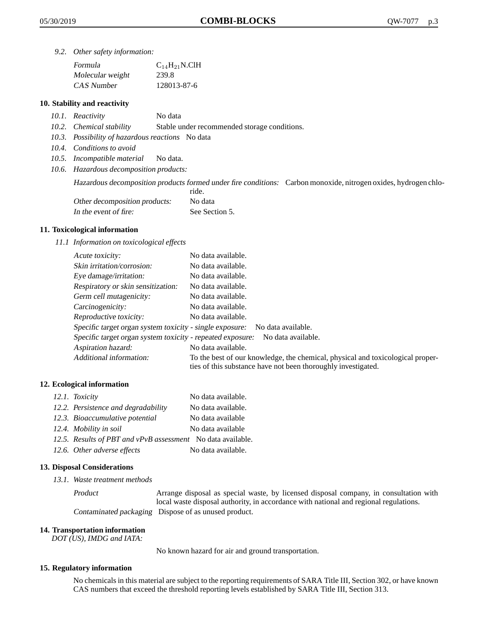*9.2. Other safety information:*

| Formula          | $C_{14}H_{21}N$ .ClH |
|------------------|----------------------|
| Molecular weight | 239.8                |
| CAS Number       | 128013-87-6          |

## **10. Stability and reactivity**

- *10.1. Reactivity* No data
- *10.2. Chemical stability* Stable under recommended storage conditions.
- *10.3. Possibility of hazardous reactions* No data
- *10.4. Conditions to avoid*
- *10.5. Incompatible material* No data.
- *10.6. Hazardous decomposition products:*

Hazardous decomposition products formed under fire conditions: Carbon monoxide, nitrogen oxides, hydrogen chlo-

|                               | ride.          |
|-------------------------------|----------------|
| Other decomposition products: | No data        |
| In the event of fire:         | See Section 5. |

## **11. Toxicological information**

*11.1 Information on toxicological effects*

| Acute toxicity:                                            | No data available.                                                                                                                              |
|------------------------------------------------------------|-------------------------------------------------------------------------------------------------------------------------------------------------|
| Skin irritation/corrosion:                                 | No data available.                                                                                                                              |
| Eye damage/irritation:                                     | No data available.                                                                                                                              |
| Respiratory or skin sensitization:                         | No data available.                                                                                                                              |
| Germ cell mutagenicity:                                    | No data available.                                                                                                                              |
| Carcinogenicity:                                           | No data available.                                                                                                                              |
| Reproductive toxicity:                                     | No data available.                                                                                                                              |
| Specific target organ system toxicity - single exposure:   | No data available.                                                                                                                              |
| Specific target organ system toxicity - repeated exposure: | No data available.                                                                                                                              |
| Aspiration hazard:                                         | No data available.                                                                                                                              |
| Additional information:                                    | To the best of our knowledge, the chemical, physical and toxicological proper-<br>ties of this substance have not been thoroughly investigated. |

# **12. Ecological information**

| 12.1. Toxicity                                              | No data available. |
|-------------------------------------------------------------|--------------------|
| 12.2. Persistence and degradability                         | No data available. |
| 12.3. Bioaccumulative potential                             | No data available  |
| 12.4. Mobility in soil                                      | No data available  |
| 12.5. Results of PBT and vPvB assessment No data available. |                    |
| 12.6. Other adverse effects                                 | No data available. |

#### **13. Disposal Considerations**

*13.1. Waste treatment methods*

Product Arrange disposal as special waste, by licensed disposal company, in consultation with local waste disposal authority, in accordance with national and regional regulations. Contaminated packaging Dispose of as unused product.

#### **14. Transportation information**

*DOT (US), IMDG and IATA:*

No known hazard for air and ground transportation.

## **15. Regulatory information**

No chemicals in this material are subject to the reporting requirements of SARA Title III, Section 302, or have known CAS numbers that exceed the threshold reporting levels established by SARA Title III, Section 313.